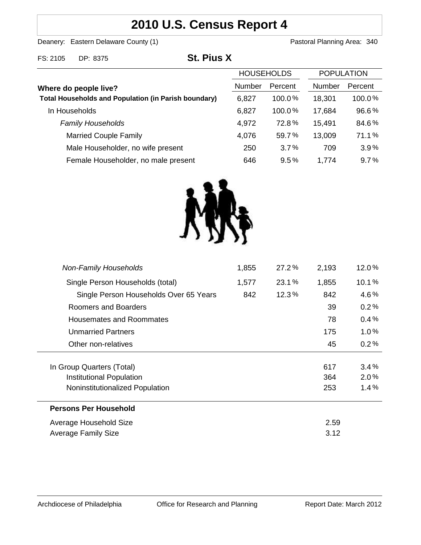# **2010 U.S. Census Report 4**

Deanery: Eastern Delaware County (1) Deanery: Eastern Delaware County (1)

FS: 2105 DP: 8375 **St. Pius X**

|                                                             | <b>HOUSEHOLDS</b> |           | <b>POPULATION</b> |         |
|-------------------------------------------------------------|-------------------|-----------|-------------------|---------|
| Where do people live?                                       | Number            | Percent   | Number            | Percent |
| <b>Total Households and Population (in Parish boundary)</b> | 6,827             | $100.0\%$ | 18,301            | 100.0%  |
| In Households                                               | 6,827             | 100.0%    | 17,684            | 96.6%   |
| <b>Family Households</b>                                    | 4,972             | 72.8%     | 15,491            | 84.6%   |
| <b>Married Couple Family</b>                                | 4,076             | 59.7%     | 13,009            | 71.1%   |
| Male Householder, no wife present                           | 250               | 3.7%      | 709               | 3.9%    |
| Female Householder, no male present                         | 646               | 9.5%      | 1,774             | 9.7%    |



| <b>Non-Family Households</b>           | 1,855 | 27.2% | 2,193 | 12.0%   |
|----------------------------------------|-------|-------|-------|---------|
| Single Person Households (total)       | 1,577 | 23.1% | 1,855 | 10.1%   |
| Single Person Households Over 65 Years | 842   | 12.3% | 842   | 4.6%    |
| Roomers and Boarders                   |       |       | 39    | 0.2%    |
| Housemates and Roommates               |       |       | 78    | 0.4%    |
| <b>Unmarried Partners</b>              |       |       | 175   | 1.0%    |
| Other non-relatives                    |       |       | 45    | $0.2\%$ |
| In Group Quarters (Total)              |       |       | 617   | 3.4%    |
| <b>Institutional Population</b>        |       |       | 364   | 2.0%    |
| Noninstitutionalized Population        |       |       | 253   | $1.4\%$ |
| <b>Persons Per Household</b>           |       |       |       |         |
| Average Household Size                 |       |       | 2.59  |         |
| Average Family Size                    |       |       | 3.12  |         |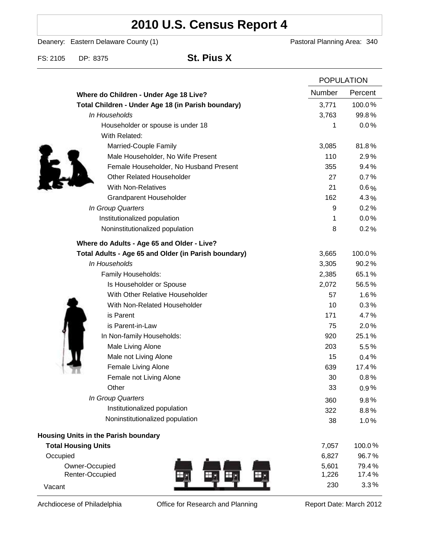# **2010 U.S. Census Report 4**

Deanery: Eastern Delaware County (1) Deanery: Eastern Delaware County (1)

FS: 2105 DP: 8375 **St. Pius X**

|                                                      |               | <b>POPULATION</b> |  |
|------------------------------------------------------|---------------|-------------------|--|
| Where do Children - Under Age 18 Live?               | <b>Number</b> | Percent           |  |
| Total Children - Under Age 18 (in Parish boundary)   | 3,771         | 100.0%            |  |
| In Households                                        | 3,763         | 99.8%             |  |
| Householder or spouse is under 18                    | 1             | 0.0%              |  |
| With Related:                                        |               |                   |  |
| Married-Couple Family                                | 3,085         | 81.8%             |  |
| Male Householder, No Wife Present                    | 110           | 2.9%              |  |
| Female Householder, No Husband Present               | 355           | 9.4%              |  |
| <b>Other Related Householder</b>                     | 27            | 0.7%              |  |
| <b>With Non-Relatives</b>                            | 21            | $0.6\%$           |  |
| Grandparent Householder                              | 162           | 4.3%              |  |
| In Group Quarters                                    | 9             | 0.2%              |  |
| Institutionalized population                         | 1             | 0.0%              |  |
| Noninstitutionalized population                      | 8             | 0.2%              |  |
| Where do Adults - Age 65 and Older - Live?           |               |                   |  |
| Total Adults - Age 65 and Older (in Parish boundary) | 3,665         | 100.0%            |  |
| In Households                                        | 3,305         | 90.2%             |  |
| Family Households:                                   | 2,385         | 65.1%             |  |
| Is Householder or Spouse                             | 2,072         | 56.5%             |  |
| With Other Relative Householder                      | 57            | 1.6%              |  |
| With Non-Related Householder                         | 10            | 0.3%              |  |
| is Parent                                            | 171           | 4.7%              |  |
| is Parent-in-Law                                     | 75            | 2.0%              |  |
| In Non-family Households:                            | 920           | 25.1%             |  |
| Male Living Alone                                    | 203           | $5.5\%$           |  |
| Male not Living Alone                                | 15            | 0.4%              |  |
| Female Living Alone                                  | 639           | 17.4%             |  |
| Female not Living Alone                              | 30            | 0.8%              |  |
| Other                                                | 33            | 0.9%              |  |
| In Group Quarters                                    | 360           | 9.8%              |  |
| Institutionalized population                         | 322           | 8.8%              |  |
| Noninstitutionalized population                      | 38            | 1.0%              |  |
| Housing Units in the Parish boundary                 |               |                   |  |
| <b>Total Housing Units</b>                           | 7,057         | 100.0%            |  |
| Occupied                                             | 6,827         | 96.7%             |  |
| Owner-Occupied                                       | 5,601         | 79.4%             |  |
| Renter-Occupied<br>÷Γ                                | 1,226         | 17.4%             |  |
| Vacant                                               | 230           | 3.3%              |  |

Archdiocese of Philadelphia **Office for Research and Planning** Report Date: March 2012